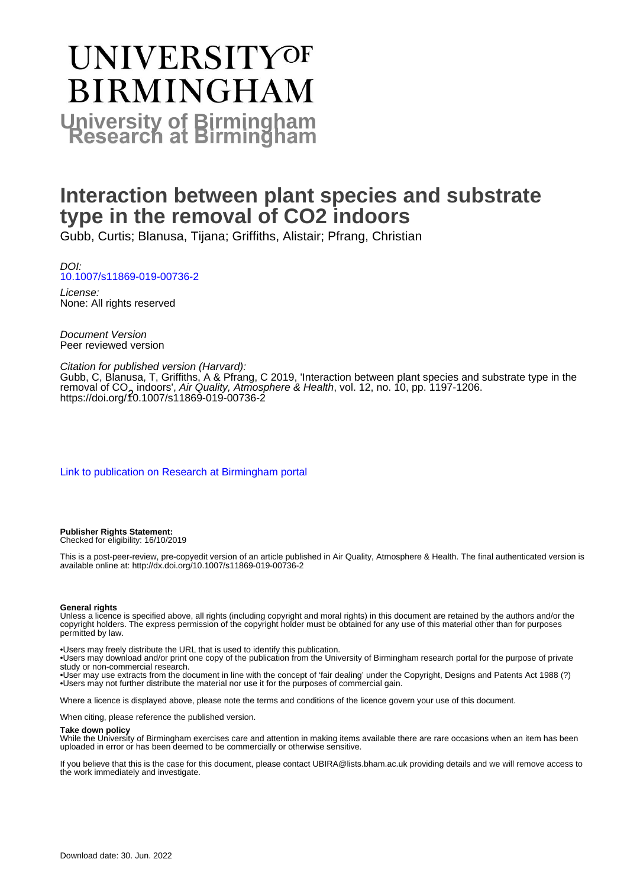# UNIVERSITYOF **BIRMINGHAM University of Birmingham**

# **Interaction between plant species and substrate type in the removal of CO2 indoors**

Gubb, Curtis; Blanusa, Tijana; Griffiths, Alistair; Pfrang, Christian

DOI: [10.1007/s11869-019-00736-2](https://doi.org/10.1007/s11869-019-00736-2)

License: None: All rights reserved

Document Version Peer reviewed version

### Citation for published version (Harvard):

Gubb, C, Blanusa, T, Griffiths, A & Pfrang, C 2019, 'Interaction between plant species and substrate type in the removal of CO<sub>2</sub> indoors', *Air Quality, Atmosphere & Health*, vol. 12, no. 10, pp. 1197-1206.<br>https://doi.org/<del>f</del>0.1007/s11869-019-00736-2 <https://doi.org/10.1007/s11869-019-00736-2>

[Link to publication on Research at Birmingham portal](https://birmingham.elsevierpure.com/en/publications/d61d4ece-ca21-41ab-9e7b-ab0d3f34ed61)

#### **Publisher Rights Statement:**

Checked for eligibility: 16/10/2019

This is a post-peer-review, pre-copyedit version of an article published in Air Quality, Atmosphere & Health. The final authenticated version is available online at: http://dx.doi.org/10.1007/s11869-019-00736-2

#### **General rights**

Unless a licence is specified above, all rights (including copyright and moral rights) in this document are retained by the authors and/or the copyright holders. The express permission of the copyright holder must be obtained for any use of this material other than for purposes permitted by law.

• Users may freely distribute the URL that is used to identify this publication.

• Users may download and/or print one copy of the publication from the University of Birmingham research portal for the purpose of private study or non-commercial research.

• User may use extracts from the document in line with the concept of 'fair dealing' under the Copyright, Designs and Patents Act 1988 (?) • Users may not further distribute the material nor use it for the purposes of commercial gain.

Where a licence is displayed above, please note the terms and conditions of the licence govern your use of this document.

When citing, please reference the published version.

#### **Take down policy**

While the University of Birmingham exercises care and attention in making items available there are rare occasions when an item has been uploaded in error or has been deemed to be commercially or otherwise sensitive.

If you believe that this is the case for this document, please contact UBIRA@lists.bham.ac.uk providing details and we will remove access to the work immediately and investigate.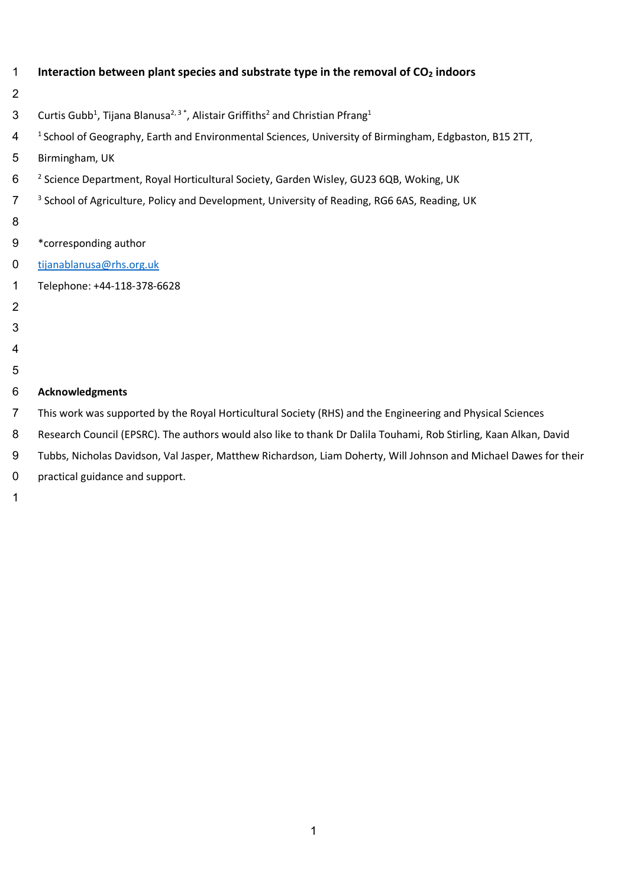| $\mathbf{1}$   | Interaction between plant species and substrate type in the removal of CO <sub>2</sub> indoors                                             |
|----------------|--------------------------------------------------------------------------------------------------------------------------------------------|
| $\overline{2}$ |                                                                                                                                            |
| 3              | Curtis Gubb <sup>1</sup> , Tijana Blanusa <sup>2, 3</sup> <sup>*</sup> , Alistair Griffiths <sup>2</sup> and Christian Pfrang <sup>1</sup> |
| 4              | <sup>1</sup> School of Geography, Earth and Environmental Sciences, University of Birmingham, Edgbaston, B15 2TT,                          |
| 5              | Birmingham, UK                                                                                                                             |
| 6              | <sup>2</sup> Science Department, Royal Horticultural Society, Garden Wisley, GU23 6QB, Woking, UK                                          |
| $\overline{7}$ | <sup>3</sup> School of Agriculture, Policy and Development, University of Reading, RG6 6AS, Reading, UK                                    |
| 8              |                                                                                                                                            |
| 9              | *corresponding author                                                                                                                      |
| 0              | tijanablanusa@rhs.org.uk                                                                                                                   |
| 1              | Telephone: +44-118-378-6628                                                                                                                |
| $\overline{2}$ |                                                                                                                                            |
| 3              |                                                                                                                                            |
| 4              |                                                                                                                                            |
| 5              |                                                                                                                                            |
| 6              | <b>Acknowledgments</b>                                                                                                                     |
| $\overline{7}$ | This work was supported by the Royal Horticultural Society (RHS) and the Engineering and Physical Sciences                                 |
| 8              | Research Council (EPSRC). The authors would also like to thank Dr Dalila Touhami, Rob Stirling, Kaan Alkan, David                          |
| 9              | Tubbs, Nicholas Davidson, Val Jasper, Matthew Richardson, Liam Doherty, Will Johnson and Michael Dawes for their                           |
| 0              | practical guidance and support.                                                                                                            |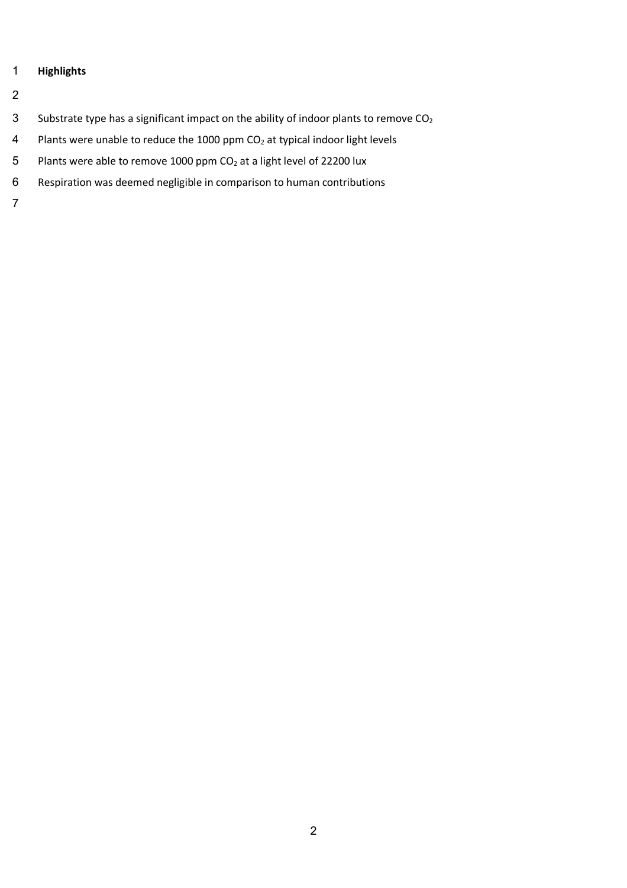# **Highlights**

- 
- 3 Substrate type has a significant impact on the ability of indoor plants to remove CO<sub>2</sub>
- 4 Plants were unable to reduce the 1000 ppm  $CO<sub>2</sub>$  at typical indoor light levels
- 5 Plants were able to remove 1000 ppm  $CO<sub>2</sub>$  at a light level of 22200 lux
- Respiration was deemed negligible in comparison to human contributions
-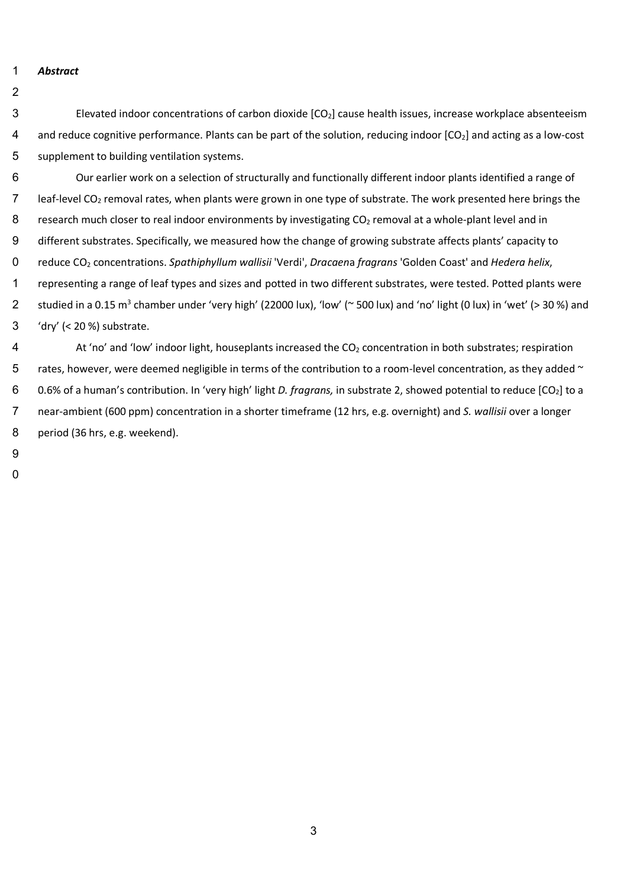1 *Abstract* 

- 3 Elevated indoor concentrations of carbon dioxide [CO2] cause health issues, increase workplace absenteeism 4 and reduce cognitive performance. Plants can be part of the solution, reducing indoor  $[CO_2]$  and acting as a low-cost 5 supplement to building ventilation systems.
- 6 Our earlier work on a selection of structurally and functionally different indoor plants identified a range of 7 leaf-level CO<sub>2</sub> removal rates, when plants were grown in one type of substrate. The work presented here brings the 8 research much closer to real indoor environments by investigating CO<sub>2</sub> removal at a whole-plant level and in 9 different substrates. Specifically, we measured how the change of growing substrate affects plants' capacity to 10 reduce CO2 concentrations. *Spathiphyllum wallisii* 'Verdi', *Dracaen*a *fragrans* 'Golden Coast' and *Hedera helix*, 1 representing a range of leaf types and sizes and potted in two different substrates, were tested. Potted plants were 2 studied in a 0.15 m<sup>3</sup> chamber under 'very high' (22000 lux), 'low' ( $\sim$  500 lux) and 'no' light (0 lux) in 'wet' (> 30 %) and 13 'dry' (< 20 %) substrate.
- 4  $\blacksquare$  At 'no' and 'low' indoor light, houseplants increased the CO<sub>2</sub> concentration in both substrates; respiration 5 rates, however, were deemed negligible in terms of the contribution to a room-level concentration, as they added  $\sim$ 16 0.6% of a human's contribution. In 'very high' light *D. fragrans,* in substrate 2, showed potential to reduce [CO2] to a 17 near-ambient (600 ppm) concentration in a shorter timeframe (12 hrs, e.g. overnight) and *S. wallisii* over a longer 8 period (36 hrs, e.g. weekend).
- 19
- $\overline{0}$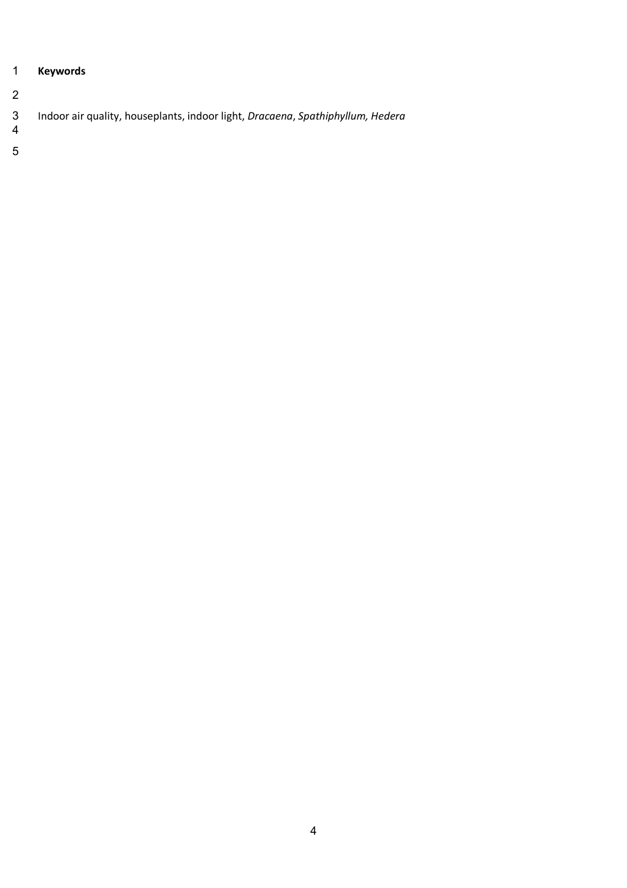# **Keywords**

# Indoor air quality, houseplants, indoor light, *Dracaena*, *Spathiphyllum, Hedera*

 $\begin{array}{c} 3 \\ 4 \end{array}$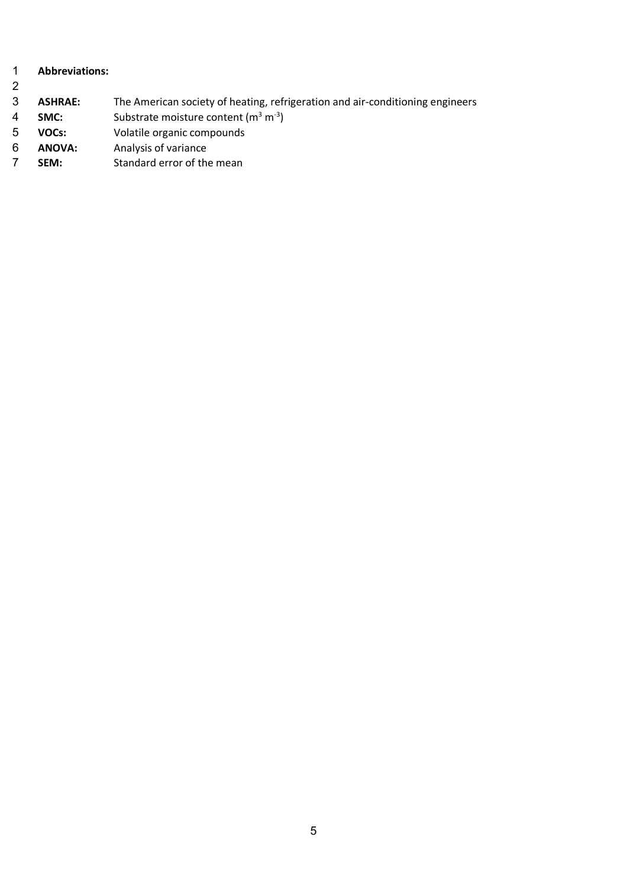## **Abbreviations: ASHRAE:** The American society of heating, refrigeration and air-conditioning engineers 4 **SMC:** Substrate moisture content (m<sup>3</sup> m<sup>-3</sup>) **VOCs:** Volatile organic compounds **ANOVA:** Analysis of variance **SEM:** Standard error of the mean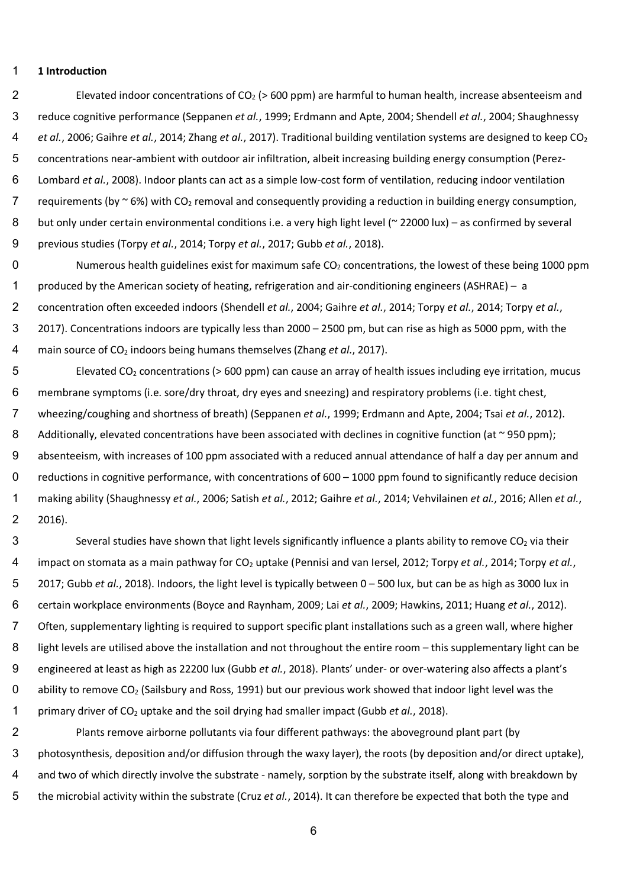#### **1 Introduction**

2 Elevated indoor concentrations of  $CO<sub>2</sub>$  (> 600 ppm) are harmful to human health, increase absenteeism and reduce cognitive performance (Seppanen *et al.*, 1999; Erdmann and Apte, 2004; Shendell *et al.*, 2004; Shaughnessy *et al.*, 2006; Gaihre *et al.*, 2014; Zhang *et al.*, 2017). Traditional building ventilation systems are designed to keep CO<sub>2</sub> concentrations near-ambient with outdoor air infiltration, albeit increasing building energy consumption (Perez- Lombard *et al.*, 2008). Indoor plants can act as a simple low-cost form of ventilation, reducing indoor ventilation 7 requirements (by  $\sim$  6%) with CO<sub>2</sub> removal and consequently providing a reduction in building energy consumption, 8 but only under certain environmental conditions i.e. a very high light level (~ 22000 lux) – as confirmed by several previous studies (Torpy *et al.*, 2014; Torpy *et al.*, 2017; Gubb *et al.*, 2018).

0 Numerous health guidelines exist for maximum safe  $CO<sub>2</sub>$  concentrations, the lowest of these being 1000 ppm produced by the American society of heating, refrigeration and air-conditioning engineers (ASHRAE) – a concentration often exceeded indoors (Shendell *et al.*, 2004; Gaihre *et al.*, 2014; Torpy *et al.*, 2014; Torpy *et al.*, 2017). Concentrations indoors are typically less than 2000 – 2500 pm, but can rise as high as 5000 ppm, with the main source of CO2 indoors being humans themselves (Zhang *et al.*, 2017).

 Elevated CO<sub>2</sub> concentrations (> 600 ppm) can cause an array of health issues including eye irritation, mucus membrane symptoms (i.e. sore/dry throat, dry eyes and sneezing) and respiratory problems (i.e. tight chest, wheezing/coughing and shortness of breath) (Seppanen *et al.*, 1999; Erdmann and Apte, 2004; Tsai *et al.*, 2012). 8 Additionally, elevated concentrations have been associated with declines in cognitive function (at  $\sim$  950 ppm); absenteeism, with increases of 100 ppm associated with a reduced annual attendance of half a day per annum and 0 reductions in cognitive performance, with concentrations of 600 – 1000 ppm found to significantly reduce decision making ability (Shaughnessy *et al.*, 2006; Satish *et al.*, 2012; Gaihre *et al.*, 2014; Vehvilainen *et al.*, 2016; Allen *et al.*, 2016).

3 Several studies have shown that light levels significantly influence a plants ability to remove  $CO<sub>2</sub>$  via their impact on stomata as a main pathway for CO2 uptake (Pennisi and van Iersel, 2012; Torpy *et al.*, 2014; Torpy *et al.*, 2017; Gubb *et al.*, 2018). Indoors, the light level is typically between 0 – 500 lux, but can be as high as 3000 lux in certain workplace environments (Boyce and Raynham, 2009; Lai *et al.*, 2009; Hawkins, 2011; Huang *et al.*, 2012). Often, supplementary lighting is required to support specific plant installations such as a green wall, where higher 8 light levels are utilised above the installation and not throughout the entire room – this supplementary light can be engineered at least as high as 22200 lux (Gubb *et al.*, 2018). Plants' under- or over-watering also affects a plant's ability to remove CO<sub>2</sub> (Sailsbury and Ross, 1991) but our previous work showed that indoor light level was the primary driver of CO2 uptake and the soil drying had smaller impact (Gubb *et al.*, 2018).

 Plants remove airborne pollutants via four different pathways: the aboveground plant part (by photosynthesis, deposition and/or diffusion through the waxy layer), the roots (by deposition and/or direct uptake), and two of which directly involve the substrate - namely, sorption by the substrate itself, along with breakdown by the microbial activity within the substrate (Cruz *et al.*, 2014). It can therefore be expected that both the type and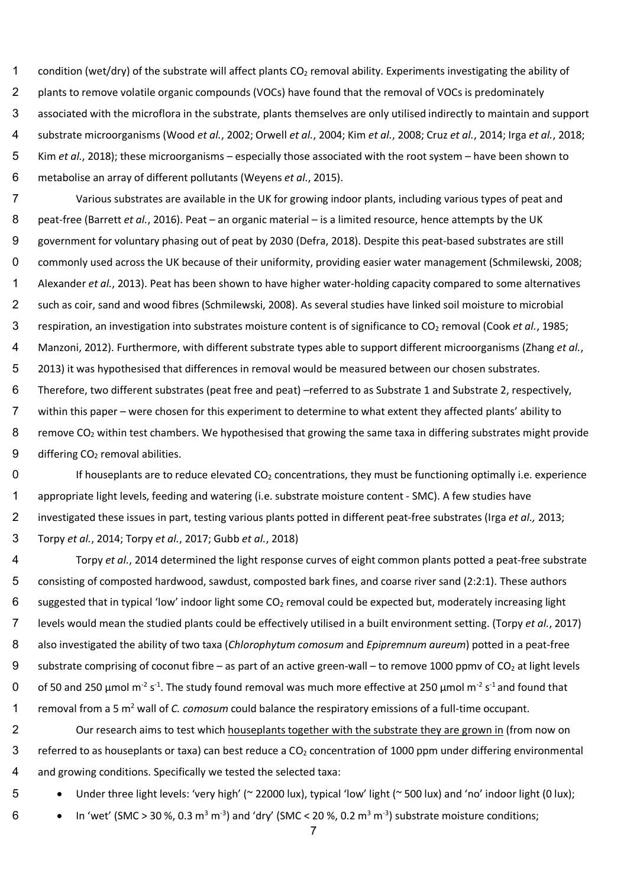1 condition (wet/dry) of the substrate will affect plants  $CO<sub>2</sub>$  removal ability. Experiments investigating the ability of 2 plants to remove volatile organic compounds (VOCs) have found that the removal of VOCs is predominately associated with the microflora in the substrate, plants themselves are only utilised indirectly to maintain and support substrate microorganisms (Wood *et al.*, 2002; Orwell *et al.*, 2004; Kim *et al.*, 2008; Cruz *et al.*, 2014; Irga *et al.*, 2018; Kim *et al.*, 2018); these microorganisms – especially those associated with the root system – have been shown to metabolise an array of different pollutants (Weyens *et al.*, 2015).

 Various substrates are available in the UK for growing indoor plants, including various types of peat and peat-free (Barrett *et al.*, 2016). Peat – an organic material – is a limited resource, hence attempts by the UK government for voluntary phasing out of peat by 2030 (Defra, 2018). Despite this peat-based substrates are still commonly used across the UK because of their uniformity, providing easier water management (Schmilewski, 2008; Alexander *et al.*, 2013). Peat has been shown to have higher water-holding capacity compared to some alternatives such as coir, sand and wood fibres (Schmilewski, 2008). As several studies have linked soil moisture to microbial respiration, an investigation into substrates moisture content is of significance to CO2 removal (Cook *et al.*, 1985; Manzoni, 2012). Furthermore, with different substrate types able to support different microorganisms (Zhang *et al.*, 2013) it was hypothesised that differences in removal would be measured between our chosen substrates. Therefore, two different substrates (peat free and peat) –referred to as Substrate 1 and Substrate 2, respectively,

 within this paper – were chosen for this experiment to determine to what extent they affected plants' ability to 8 remove  $CO<sub>2</sub>$  within test chambers. We hypothesised that growing the same taxa in differing substrates might provide 9 differing  $CO<sub>2</sub>$  removal abilities.

 If houseplants are to reduce elevated CO<sub>2</sub> concentrations, they must be functioning optimally i.e. experience appropriate light levels, feeding and watering (i.e. substrate moisture content - SMC). A few studies have investigated these issues in part, testing various plants potted in different peat-free substrates (Irga *et al.,* 2013; Torpy *et al.*, 2014; Torpy *et al.*, 2017; Gubb *et al.*, 2018)

 Torpy *et al.*, 2014 determined the light response curves of eight common plants potted a peat-free substrate consisting of composted hardwood, sawdust, composted bark fines, and coarse river sand (2:2:1). These authors 6 suggested that in typical 'low' indoor light some  $CO<sub>2</sub>$  removal could be expected but, moderately increasing light levels would mean the studied plants could be effectively utilised in a built environment setting. (Torpy *et al.*, 2017) also investigated the ability of two taxa (*Chlorophytum comosum* and *Epipremnum aureum*) potted in a peat-free 9 substrate comprising of coconut fibre – as part of an active green-wall – to remove 1000 ppmv of  $CO<sub>2</sub>$  at light levels 0 of 50 and 250  $\mu$ mol m<sup>-2</sup> s<sup>-1</sup>. The study found removal was much more effective at 250  $\mu$ mol m<sup>-2</sup> s<sup>-1</sup> and found that 1 removal from a 5 m<sup>2</sup> wall of *C. comosum* could balance the respiratory emissions of a full-time occupant.

2 Our research aims to test which houseplants together with the substrate they are grown in (from now on 3 referred to as houseplants or taxa) can best reduce a  $CO<sub>2</sub>$  concentration of 1000 ppm under differing environmental 4 and growing conditions. Specifically we tested the selected taxa:

5 • Under three light levels: 'very high' (~ 22000 lux), typical 'low' light (~ 500 lux) and 'no' indoor light (0 lux);

6 • In 'wet' (SMC > 30 %, 0.3 m<sup>3</sup> m<sup>-3</sup>) and 'dry' (SMC < 20 %, 0.2 m<sup>3</sup> m<sup>-3</sup>) substrate moisture conditions;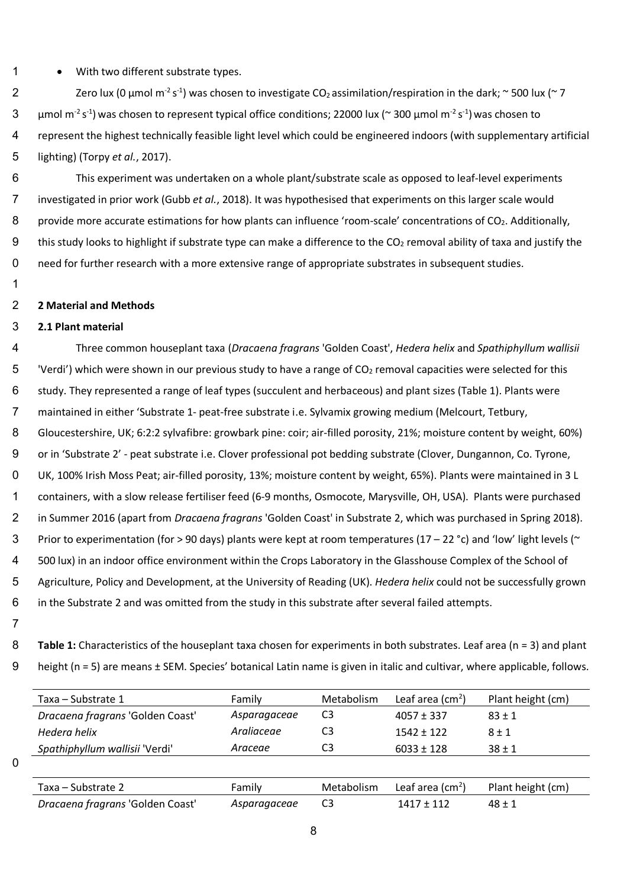1 • With two different substrate types.

2 Zero lux (0 µmol m<sup>-2</sup> s<sup>-1</sup>) was chosen to investigate CO<sub>2</sub> assimilation/respiration in the dark; ~ 500 lux (~ 7 3 µmol m<sup>-2</sup> s<sup>-1</sup>) was chosen to represent typical office conditions; 22000 lux (~ 300 µmol m<sup>-2</sup> s<sup>-1</sup>) was chosen to 4 represent the highest technically feasible light level which could be engineered indoors (with supplementary artificial 5 lighting) (Torpy *et al.*, 2017).

6 This experiment was undertaken on a whole plant/substrate scale as opposed to leaf-level experiments 7 investigated in prior work (Gubb *et al.*, 2018). It was hypothesised that experiments on this larger scale would 8 provide more accurate estimations for how plants can influence 'room-scale' concentrations of CO<sub>2</sub>. Additionally, 9 this study looks to highlight if substrate type can make a difference to the CO<sub>2</sub> removal ability of taxa and justify the 0 need for further research with a more extensive range of appropriate substrates in subsequent studies.

11

#### 12 **2 Material and Methods**

## 13 **2.1 Plant material**

 Three common houseplant taxa (*Dracaena fragrans* 'Golden Coast', *Hedera helix* and *Spathiphyllum wallisii*  'Verdi') which were shown in our previous study to have a range of CO<sub>2</sub> removal capacities were selected for this 6 study. They represented a range of leaf types (succulent and herbaceous) and plant sizes (Table 1). Plants were maintained in either 'Substrate 1- peat-free substrate i.e. Sylvamix growing medium (Melcourt, Tetbury, Gloucestershire, UK; 6:2:2 sylvafibre: growbark pine: coir; air-filled porosity, 21%; moisture content by weight, 60%) or in 'Substrate 2' - peat substrate i.e. Clover professional pot bedding substrate (Clover, Dungannon, Co. Tyrone, UK, 100% Irish Moss Peat; air-filled porosity, 13%; moisture content by weight, 65%). Plants were maintained in 3 L containers, with a slow release fertiliser feed (6-9 months, Osmocote, Marysville, OH, USA). Plants were purchased in Summer 2016 (apart from *Dracaena fragrans* 'Golden Coast' in Substrate 2, which was purchased in Spring 2018). 3 Prior to experimentation (for > 90 days) plants were kept at room temperatures (17 – 22 °c) and 'low' light levels (~ 500 lux) in an indoor office environment within the Crops Laboratory in the Glasshouse Complex of the School of Agriculture, Policy and Development, at the University of Reading (UK). *Hedera helix* could not be successfully grown in the Substrate 2 and was omitted from the study in this substrate after several failed attempts.

27

 $\overline{0}$ 

8 Table 1: Characteristics of the houseplant taxa chosen for experiments in both substrates. Leaf area (n = 3) and plant 9 height (n = 5) are means ± SEM. Species' botanical Latin name is given in italic and cultivar, where applicable, follows.

| Taxa - Substrate 1               | Family       | Metabolism     | Leaf area $(cm2)$         | Plant height (cm) |
|----------------------------------|--------------|----------------|---------------------------|-------------------|
| Dracaena fragrans 'Golden Coast' | Asparagaceae | C <sub>3</sub> | $4057 \pm 337$            | $83 \pm 1$        |
| Hedera helix                     | Araliaceae   | C <sub>3</sub> | $1542 + 122$              | $8 + 1$           |
| Spathiphyllum wallisii 'Verdi'   | Araceae      | C3             | $6033 \pm 128$            | $38 \pm 1$        |
|                                  |              |                |                           |                   |
| Taxa – Substrate 2               | Family       | Metabolism     | Leaf area $\text{(cm}^2)$ | Plant height (cm) |
| Dracaena fragrans 'Golden Coast' | Asparagaceae | C <sub>3</sub> | $1417 \pm 112$            | $48 \pm 1$        |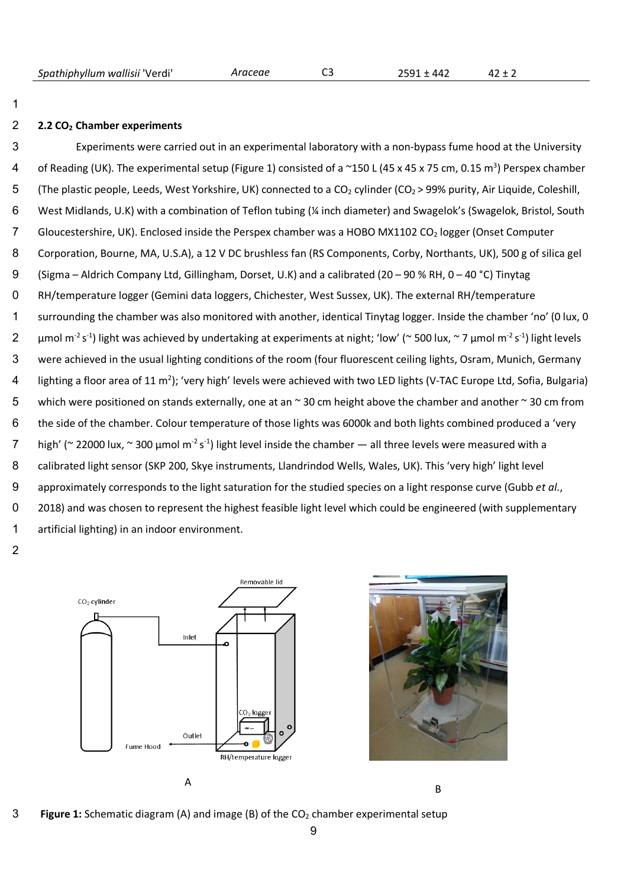*Spathiphyllum wallisii* 'Verdi' *Araceae* C3 2591 ± 442 42 ± 2

### 2 **2.2 CO2 Chamber experiments**

1

3 Experiments were carried out in an experimental laboratory with a non-bypass fume hood at the University 4 of Reading (UK). The experimental setup (Figure 1) consisted of a  $\sim$ 150 L (45 x 45 x 75 cm, 0.15 m<sup>3</sup>) Perspex chamber 5 (The plastic people, Leeds, West Yorkshire, UK) connected to a  $CO_2$  cylinder ( $CO_2$  > 99% purity, Air Liquide, Coleshill, 6 West Midlands, U.K) with a combination of Teflon tubing (¼ inch diameter) and Swagelok's (Swagelok, Bristol, South 7 Gloucestershire, UK). Enclosed inside the Perspex chamber was a HOBO MX1102 CO<sub>2</sub> logger (Onset Computer 8 Corporation, Bourne, MA, U.S.A), a 12 V DC brushless fan (RS Components, Corby, Northants, UK), 500 g of silica gel 9 (Sigma – Aldrich Company Ltd, Gillingham, Dorset, U.K) and a calibrated (20 – 90 % RH, 0 – 40 °C) Tinytag 0 RH/temperature logger (Gemini data loggers, Chichester, West Sussex, UK). The external RH/temperature 1 surrounding the chamber was also monitored with another, identical Tinytag logger. Inside the chamber 'no' (0 lux, 0 2  $\mu$ mol m<sup>-2</sup> s<sup>-1</sup>) light was achieved by undertaking at experiments at night; 'low' (~ 500 lux, ~ 7  $\mu$ mol m<sup>-2</sup> s<sup>-1</sup>) light levels 13 were achieved in the usual lighting conditions of the room (four fluorescent ceiling lights, Osram, Munich, Germany 4 lighting a floor area of 11 m<sup>2</sup>); 'very high' levels were achieved with two LED lights (V-TAC Europe Ltd, Sofia, Bulgaria) 15 which were positioned on stands externally, one at an ~ 30 cm height above the chamber and another ~ 30 cm from 16 the side of the chamber. Colour temperature of those lights was 6000k and both lights combined produced a 'very  $7$  high' (~ 22000 lux, ~ 300 µmol m<sup>-2</sup> s<sup>-1</sup>) light level inside the chamber — all three levels were measured with a 18 calibrated light sensor (SKP 200, Skye instruments, Llandrindod Wells, Wales, UK). This 'very high' light level 19 approximately corresponds to the light saturation for the studied species on a light response curve (Gubb *et al.*, 0 2018) and was chosen to represent the highest feasible light level which could be engineered (with supplementary 21 artificial lighting) in an indoor environment.

22





23 **Figure 1:** Schematic diagram (A) and image (B) of the CO2 chamber experimental setup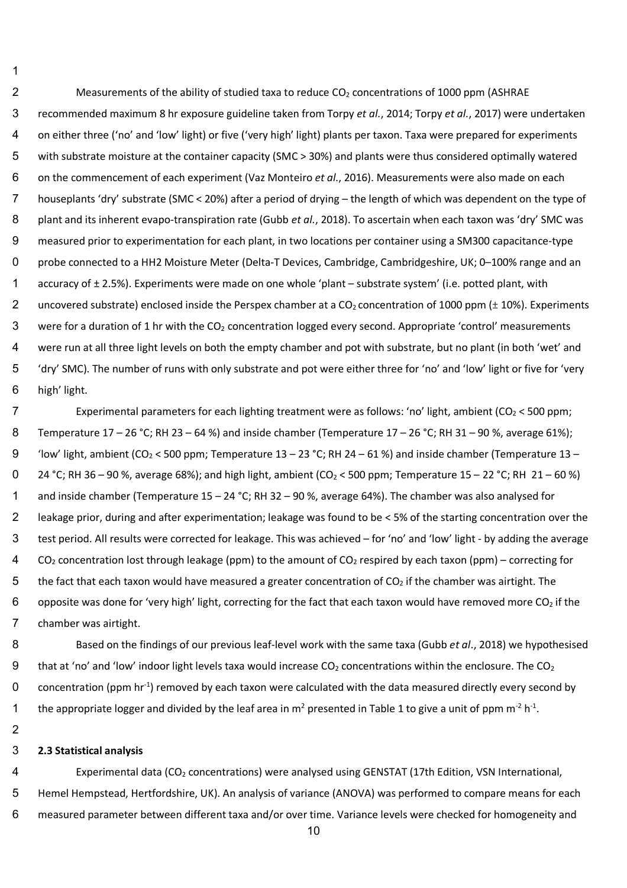2 Measurements of the ability of studied taxa to reduce  $CO<sub>2</sub>$  concentrations of 1000 ppm (ASHRAE recommended maximum 8 hr exposure guideline taken from Torpy *et al.*, 2014; Torpy *et al.*, 2017) were undertaken on either three ('no' and 'low' light) or five ('very high' light) plants per taxon. Taxa were prepared for experiments with substrate moisture at the container capacity (SMC > 30%) and plants were thus considered optimally watered on the commencement of each experiment (Vaz Monteiro *et al.*, 2016). Measurements were also made on each houseplants 'dry' substrate (SMC < 20%) after a period of drying – the length of which was dependent on the type of plant and its inherent evapo-transpiration rate (Gubb *et al.*, 2018). To ascertain when each taxon was 'dry' SMC was measured prior to experimentation for each plant, in two locations per container using a SM300 capacitance-type 0 probe connected to a HH2 Moisture Meter (Delta-T Devices, Cambridge, Cambridgeshire, UK; 0-100% range and an 1 accuracy of  $\pm$  2.5%). Experiments were made on one whole 'plant – substrate system' (i.e. potted plant, with 2 uncovered substrate) enclosed inside the Perspex chamber at a  $CO<sub>2</sub>$  concentration of 1000 ppm ( $\pm$  10%). Experiments 3 were for a duration of 1 hr with the  $CO<sub>2</sub>$  concentration logged every second. Appropriate 'control' measurements were run at all three light levels on both the empty chamber and pot with substrate, but no plant (in both 'wet' and 'dry' SMC). The number of runs with only substrate and pot were either three for 'no' and 'low' light or five for 'very 6 high' light.

7 Experimental parameters for each lighting treatment were as follows: 'no' light, ambient ( $CO<sub>2</sub> < 500$  ppm; Temperature 17 – 26 °C; RH 23 – 64 %) and inside chamber (Temperature 17 – 26 °C; RH 31 – 90 %, average 61%); 9 'low' light, ambient (CO<sub>2</sub> < 500 ppm; Temperature 13 – 23 °C; RH 24 – 61 %) and inside chamber (Temperature 13 – 24 °C; RH 36 – 90 %, average 68%); and high light, ambient (CO<sub>2</sub> < 500 ppm; Temperature 15 – 22 °C; RH 21 – 60 %) and inside chamber (Temperature 15 – 24 °C; RH 32 – 90 %, average 64%). The chamber was also analysed for leakage prior, during and after experimentation; leakage was found to be < 5% of the starting concentration over the test period. All results were corrected for leakage. This was achieved – for 'no' and 'low' light - by adding the average CO<sub>2</sub> concentration lost through leakage (ppm) to the amount of CO<sub>2</sub> respired by each taxon (ppm) – correcting for 5 the fact that each taxon would have measured a greater concentration of  $CO<sub>2</sub>$  if the chamber was airtight. The 6 opposite was done for 'very high' light, correcting for the fact that each taxon would have removed more CO<sub>2</sub> if the chamber was airtight.

 Based on the findings of our previous leaf-level work with the same taxa (Gubb *et al*., 2018) we hypothesised 9 that at 'no' and 'low' indoor light levels taxa would increase CO<sub>2</sub> concentrations within the enclosure. The CO<sub>2</sub> concentration (ppm hr<sup>-1</sup>) removed by each taxon were calculated with the data measured directly every second by the appropriate logger and divided by the leaf area in  $m^2$  presented in Table 1 to give a unit of ppm  $m^2 h^4$ .

## **2.3 Statistical analysis**

4 Experimental data (CO<sub>2</sub> concentrations) were analysed using GENSTAT (17th Edition, VSN International, Hemel Hempstead, Hertfordshire, UK). An analysis of variance (ANOVA) was performed to compare means for each measured parameter between different taxa and/or over time. Variance levels were checked for homogeneity and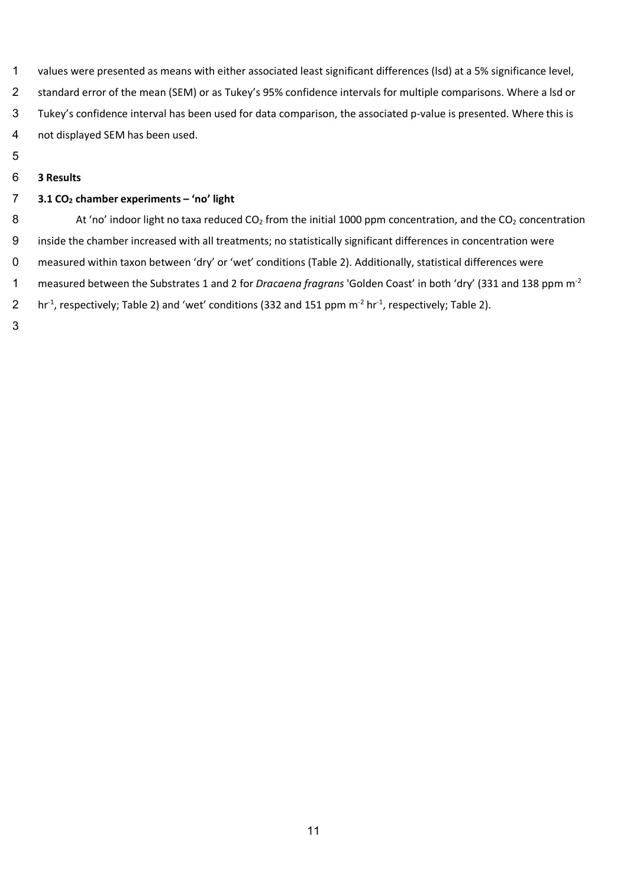- values were presented as means with either associated least significant differences (lsd) at a 5% significance level, standard error of the mean (SEM) or as Tukey's 95% confidence intervals for multiple comparisons. Where a lsd or Tukey's confidence interval has been used for data comparison, the associated p-value is presented. Where this is not displayed SEM has been used.
- 
- **3 Results**

## **3.1 CO2 chamber experiments – 'no' light**

8 At 'no' indoor light no taxa reduced  $CO<sub>2</sub>$  from the initial 1000 ppm concentration, and the  $CO<sub>2</sub>$  concentration inside the chamber increased with all treatments; no statistically significant differences in concentration were measured within taxon between 'dry' or 'wet' conditions (Table 2). Additionally, statistical differences were measured between the Substrates 1 and 2 for *Dracaena fragrans* 'Golden Coast' in both 'dry' (331 and 138 ppm m-2 2 hr<sup>-1</sup>, respectively; Table 2) and 'wet' conditions (332 and 151 ppm  $m^{-2}$  hr<sup>-1</sup>, respectively; Table 2).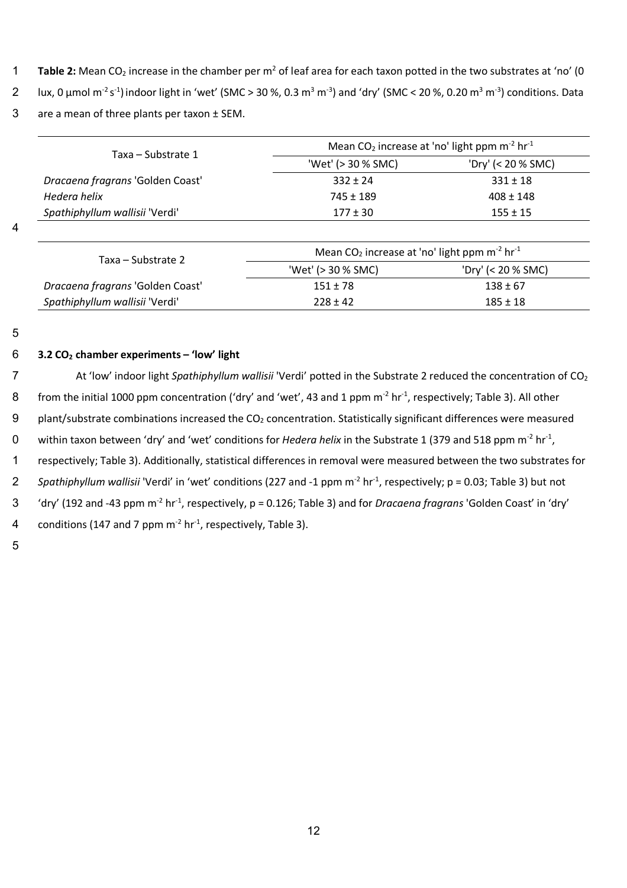- **Table 2:** Mean CO<sub>2</sub> increase in the chamber per m<sup>2</sup> of leaf area for each taxon potted in the two substrates at 'no' (0
- lux, 0 μmol m<sup>-2</sup> s<sup>-1</sup>) indoor light in 'wet' (SMC > 30 %, 0.3 m<sup>3</sup> m<sup>-3</sup>) and 'dry' (SMC < 20 %, 0.20 m<sup>3</sup> m<sup>-3</sup>) conditions. Data
- 3 are a mean of three plants per taxon ± SEM.

| Taxa – Substrate 1               | Mean $CO2$ increase at 'no' light ppm m <sup>-2</sup> hr <sup>-1</sup>    |                    |  |
|----------------------------------|---------------------------------------------------------------------------|--------------------|--|
|                                  | 'Wet' (> 30 % SMC)                                                        | 'Dry' (< 20 % SMC) |  |
| Dracaena fragrans 'Golden Coast' | $332 \pm 24$                                                              | $331 \pm 18$       |  |
| Hedera helix                     | $745 \pm 189$                                                             | $408 \pm 148$      |  |
| Spathiphyllum wallisii 'Verdi'   | $177 \pm 30$                                                              | $155 \pm 15$       |  |
|                                  |                                                                           |                    |  |
| Taxa – Substrate 2               | Mean CO <sub>2</sub> increase at 'no' light ppm $m^{-2}$ hr <sup>-1</sup> |                    |  |
|                                  | 'Wet' (> 30 % SMC)                                                        | 'Dry' (< 20 % SMC) |  |
| Dracaena fragrans 'Golden Coast' | $151 \pm 78$                                                              | $138 \pm 67$       |  |
| Spathiphyllum wallisii 'Verdi'   | $228 \pm 42$                                                              | $185 \pm 18$       |  |

## 6 **3.2 CO2 chamber experiments – 'low' light**

7 At 'low' indoor light *Spathiphyllum wallisii* 'Verdi' potted in the Substrate 2 reduced the concentration of CO<sub>2</sub> 8 from the initial 1000 ppm concentration ('dry' and 'wet', 43 and 1 ppm  $m^{-2}$  hr<sup>-1</sup>, respectively; Table 3). All other 9 plant/substrate combinations increased the  $CO<sub>2</sub>$  concentration. Statistically significant differences were measured 0 within taxon between 'dry' and 'wet' conditions for *Hedera helix* in the Substrate 1 (379 and 518 ppm m<sup>-2</sup> hr<sup>-1</sup>, 11 respectively; Table 3). Additionally, statistical differences in removal were measured between the two substrates for 2 Spathiphyllum wallisii 'Verdi' in 'wet' conditions (227 and -1 ppm m<sup>-2</sup> hr<sup>-1</sup>, respectively; p = 0.03; Table 3) but not <sup>3</sup> (dry' (192 and -43 ppm m<sup>-2</sup> hr<sup>-1</sup>, respectively, p = 0.126; Table 3) and for *Dracaena fragrans* 'Golden Coast' in 'dry' 4 conditions (147 and 7 ppm  $m<sup>-2</sup>$  hr<sup>-1</sup>, respectively, Table 3).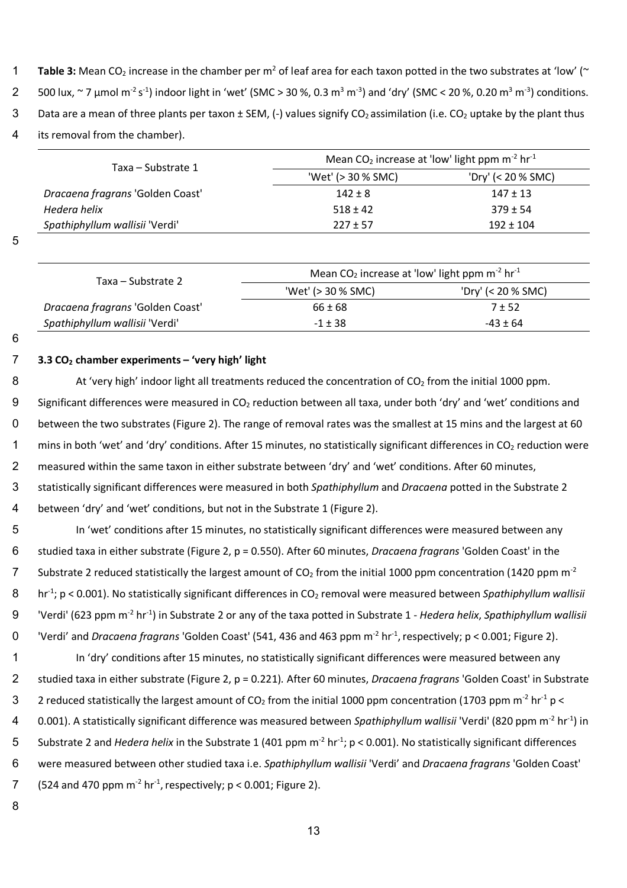- **Table 3:** Mean CO<sub>2</sub> increase in the chamber per  $m^2$  of leaf area for each taxon potted in the two substrates at 'low' ( $\sim$
- 2 500 lux, ~ 7 μmol m<sup>-2</sup> s<sup>-1</sup>) indoor light in 'wet' (SMC > 30 %, 0.3 m<sup>3</sup> m<sup>-3</sup>) and 'dry' (SMC < 20 %, 0.20 m<sup>3</sup> m<sup>-3</sup>) conditions.
- 3 Data are a mean of three plants per taxon  $\pm$  SEM, (-) values signify CO<sub>2</sub> assimilation (i.e. CO<sub>2</sub> uptake by the plant thus
- 4 its removal from the chamber).

| Taxa – Substrate 1               | Mean CO <sub>2</sub> increase at 'low' light ppm $m-2$ hr <sup>-1</sup> |                    |  |
|----------------------------------|-------------------------------------------------------------------------|--------------------|--|
|                                  | 'Wet' (> 30 % SMC)                                                      | 'Dry' (< 20 % SMC) |  |
| Dracaena fragrans 'Golden Coast' | $142 \pm 8$                                                             | $147 \pm 13$       |  |
| Hedera helix                     | $518 \pm 42$                                                            | $379 \pm 54$       |  |
| Spathiphyllum wallisii 'Verdi'   | $227 \pm 57$                                                            | $192 \pm 104$      |  |

| Taxa – Substrate 2               | Mean $CO2$ increase at 'low' light ppm m <sup>-2</sup> hr <sup>-1</sup> |                      |  |  |
|----------------------------------|-------------------------------------------------------------------------|----------------------|--|--|
|                                  | 'Wet' (> 30 % SMC)                                                      | 'Dry' (< 20 $%$ SMC) |  |  |
| Dracaena fragrans 'Golden Coast' | $66 \pm 68$                                                             | $7 + 52$             |  |  |
| Spathiphyllum wallisii 'Verdi'   | $-1 \pm 38$                                                             | $-43 \pm 64$         |  |  |

6

## 7 **3.3 CO2 chamber experiments – 'very high' light**

8 At 'very high' indoor light all treatments reduced the concentration of  $CO<sub>2</sub>$  from the initial 1000 ppm. 9 Significant differences were measured in  $CO<sub>2</sub>$  reduction between all taxa, under both 'dry' and 'wet' conditions and 10 between the two substrates (Figure 2). The range of removal rates was the smallest at 15 mins and the largest at 60 1 mins in both 'wet' and 'dry' conditions. After 15 minutes, no statistically significant differences in  $CO<sub>2</sub>$  reduction were 2 measured within the same taxon in either substrate between 'dry' and 'wet' conditions. After 60 minutes, 13 statistically significant differences were measured in both *Spathiphyllum* and *Dracaena* potted in the Substrate 2 14 between 'dry' and 'wet' conditions, but not in the Substrate 1 (Figure 2).

15 In 'wet' conditions after 15 minutes, no statistically significant differences were measured between any 16 studied taxa in either substrate (Figure 2, p = 0.550). After 60 minutes, *Dracaena fragrans* 'Golden Coast' in the T Substrate 2 reduced statistically the largest amount of  $CO<sub>2</sub>$  from the initial 1000 ppm concentration (1420 ppm m<sup>-2</sup> 8 hr<sup>-1</sup>; p < 0.001). No statistically significant differences in CO<sub>2</sub> removal were measured between *Spathiphyllum wallisii* <sup>9</sup> 'Verdi' (623 ppm m<sup>-2</sup> hr<sup>-1</sup>) in Substrate 2 or any of the taxa potted in Substrate 1 - *Hedera helix, Spathiphyllum wallisii* <sup>0</sup> 'Verdi' and *Dracaena fragrans* 'Golden Coast' (541, 436 and 463 ppm m<sup>-2</sup> hr<sup>-1</sup>, respectively; p < 0.001; Figure 2). 21 In 'dry' conditions after 15 minutes, no statistically significant differences were measured between any

22 studied taxa in either substrate (Figure 2, p = 0.221)*.* After 60 minutes, *Dracaena fragrans* 'Golden Coast' in Substrate 2 reduced statistically the largest amount of CO<sub>2</sub> from the initial 1000 ppm concentration (1703 ppm m<sup>-2</sup> hr<sup>-1</sup> p <

- 4 0.001). A statistically significant difference was measured between *Spathiphyllum wallisii* 'Verdi' (820 ppm m<sup>-2</sup> hr<sup>-1</sup>) in
- 5 Substrate 2 and *Hedera helix* in the Substrate 1 (401 ppm m<sup>-2</sup> hr<sup>-1</sup>; p < 0.001). No statistically significant differences
- 26 were measured between other studied taxa i.e. *Spathiphyllum wallisii* 'Verdi' and *Dracaena fragrans* 'Golden Coast'
- 7 (524 and 470 ppm  $m^{-2}$  hr<sup>-1</sup>, respectively; p < 0.001; Figure 2).
- 28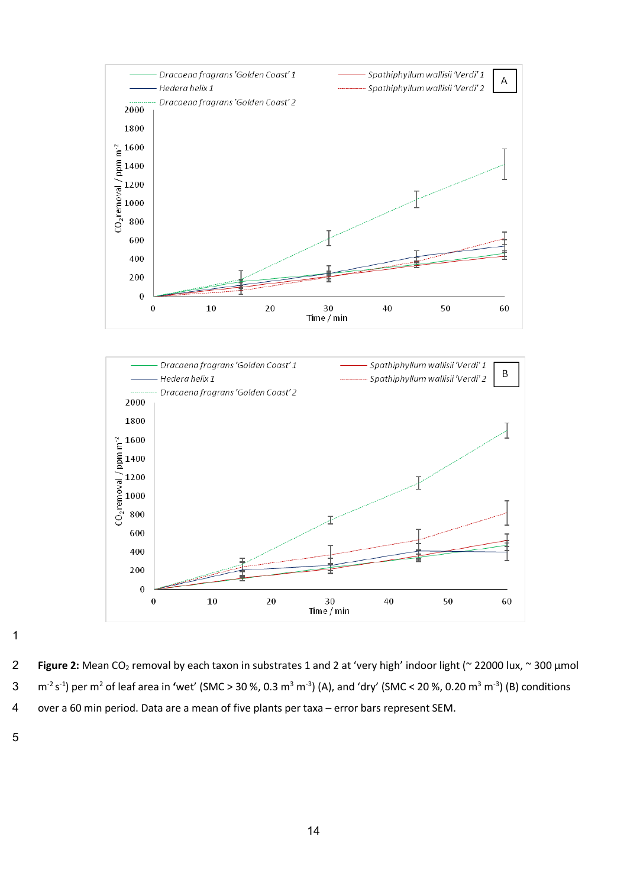



 **Figure 2:** Mean CO2 removal by each taxon in substrates 1 and 2 at 'very high' indoor light (~ 22000 lux, ~ 300 µmol 3 m<sup>-2</sup> s<sup>-1</sup>) per m<sup>2</sup> of leaf area in 'wet' (SMC > 30 %, 0.3 m<sup>3</sup> m<sup>-3</sup>) (A), and 'dry' (SMC < 20 %, 0.20 m<sup>3</sup> m<sup>-3</sup>) (B) conditions over a 60 min period. Data are a mean of five plants per taxa – error bars represent SEM.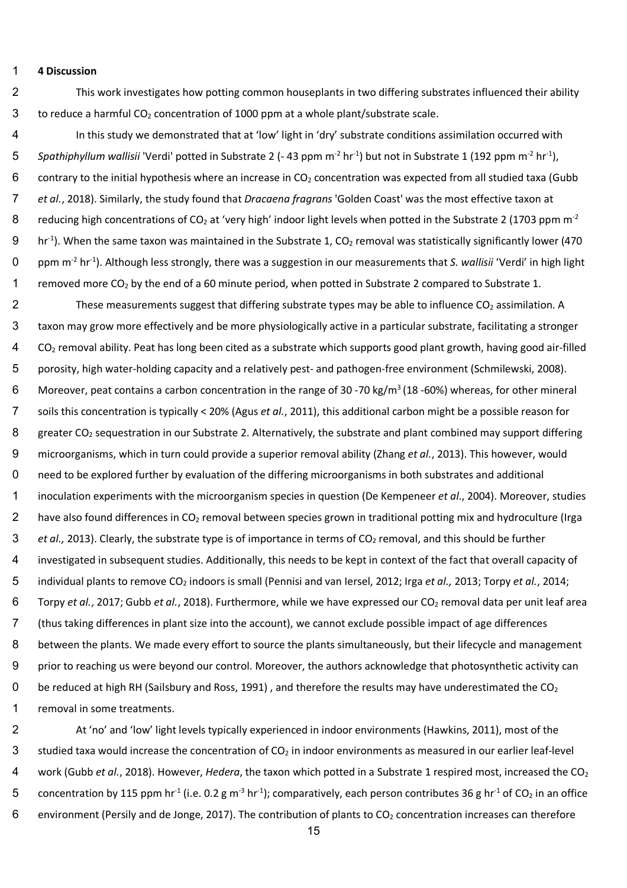#### 1 **4 Discussion**

2 This work investigates how potting common houseplants in two differing substrates influenced their ability 3 to reduce a harmful  $CO<sub>2</sub>$  concentration of 1000 ppm at a whole plant/substrate scale.

4 In this study we demonstrated that at 'low' light in 'dry' substrate conditions assimilation occurred with 5 Spathiphyllum wallisii 'Verdi' potted in Substrate 2 (- 43 ppm m<sup>-2</sup> hr<sup>-1</sup>) but not in Substrate 1 (192 ppm m<sup>-2</sup> hr<sup>-1</sup>), 6 contrary to the initial hypothesis where an increase in  $CO<sub>2</sub>$  concentration was expected from all studied taxa (Gubb 7 *et al.*, 2018). Similarly, the study found that *Dracaena fragrans* 'Golden Coast' was the most effective taxon at 8 reducing high concentrations of CO<sub>2</sub> at 'very high' indoor light levels when potted in the Substrate 2 (1703 ppm m<sup>-2</sup>  $9$  hr<sup>-1</sup>). When the same taxon was maintained in the Substrate 1, CO<sub>2</sub> removal was statistically significantly lower (470 0 ppm m<sup>-2</sup> hr<sup>-1</sup>). Although less strongly, there was a suggestion in our measurements that *S. wallisii* 'Verdi' in high light 1 removed more  $CO<sub>2</sub>$  by the end of a 60 minute period, when potted in Substrate 2 compared to Substrate 1.

2 These measurements suggest that differing substrate types may be able to influence  $CO<sub>2</sub>$  assimilation. A 13 taxon may grow more effectively and be more physiologically active in a particular substrate, facilitating a stronger 14 CO2 removal ability. Peat has long been cited as a substrate which supports good plant growth, having good air-filled 15 porosity, high water-holding capacity and a relatively pest- and pathogen-free environment (Schmilewski, 2008). 6 Moreover, peat contains a carbon concentration in the range of 30 -70 kg/m<sup>3</sup> (18 -60%) whereas, for other mineral 17 soils this concentration is typically < 20% (Agus *et al.*, 2011), this additional carbon might be a possible reason for 8 greater CO<sub>2</sub> sequestration in our Substrate 2. Alternatively, the substrate and plant combined may support differing 19 microorganisms, which in turn could provide a superior removal ability (Zhang *et al.*, 2013). This however, would 20 need to be explored further by evaluation of the differing microorganisms in both substrates and additional 21 inoculation experiments with the microorganism species in question (De Kempeneer *et al.*, 2004). Moreover, studies 2 have also found differences in  $CO<sub>2</sub>$  removal between species grown in traditional potting mix and hydroculture (Irga 3 *et al.,* 2013). Clearly, the substrate type is of importance in terms of CO<sub>2</sub> removal, and this should be further 24 investigated in subsequent studies. Additionally, this needs to be kept in context of the fact that overall capacity of 25 individual plants to remove CO2 indoors is small (Pennisi and van Iersel, 2012; Irga *et al.,* 2013; Torpy *et al.*, 2014; 6 Torpy *et al.*, 2017; Gubb *et al.*, 2018). Furthermore, while we have expressed our CO<sub>2</sub> removal data per unit leaf area 27 (thus taking differences in plant size into the account), we cannot exclude possible impact of age differences 8 between the plants. We made every effort to source the plants simultaneously, but their lifecycle and management 29 prior to reaching us were beyond our control. Moreover, the authors acknowledge that photosynthetic activity can 0 be reduced at high RH (Sailsbury and Ross, 1991), and therefore the results may have underestimated the  $CO<sub>2</sub>$ 1 removal in some treatments.

32 At 'no' and 'low' light levels typically experienced in indoor environments (Hawkins, 2011), most of the 3 studied taxa would increase the concentration of  $CO<sub>2</sub>$  in indoor environments as measured in our earlier leaf-level 34 work (Gubb *et al.*, 2018). However, *Hedera*, the taxon which potted in a Substrate 1 respired most, increased the CO2 5 concentration by 115 ppm hr<sup>-1</sup> (i.e. 0.2 g m<sup>-3</sup> hr<sup>-1</sup>); comparatively, each person contributes 36 g hr<sup>-1</sup> of CO<sub>2</sub> in an office 6 environment (Persily and de Jonge, 2017). The contribution of plants to  $CO<sub>2</sub>$  concentration increases can therefore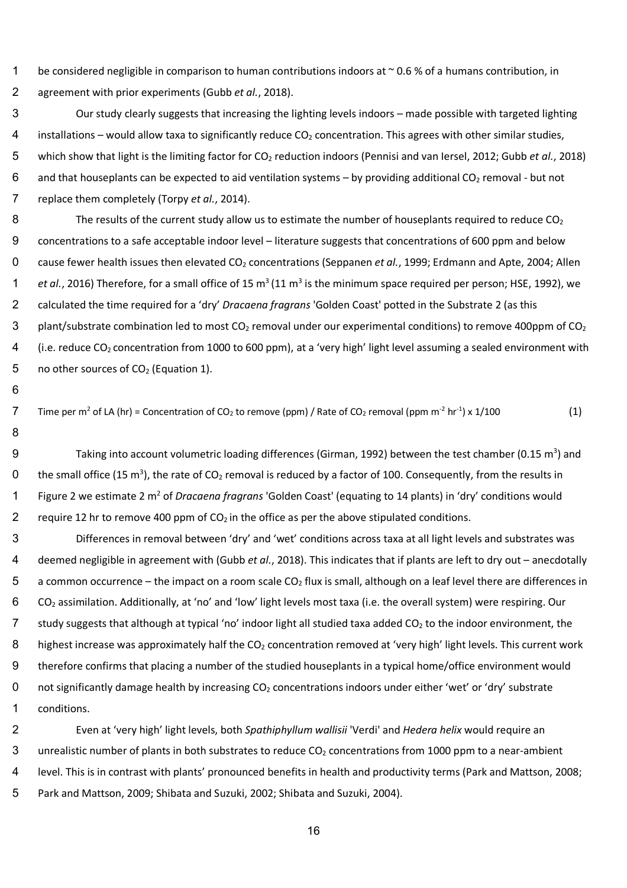1 be considered negligible in comparison to human contributions indoors at ~0.6 % of a humans contribution, in 2 agreement with prior experiments (Gubb *et al.*, 2018).

- 3 Our study clearly suggests that increasing the lighting levels indoors made possible with targeted lighting 4 installations – would allow taxa to significantly reduce  $CO<sub>2</sub>$  concentration. This agrees with other similar studies, 5 which show that light is the limiting factor for CO2 reduction indoors (Pennisi and van Iersel, 2012; Gubb *et al.*, 2018) 6 and that houseplants can be expected to aid ventilation systems – by providing additional CO<sub>2</sub> removal - but not 7 replace them completely (Torpy *et al.*, 2014).
- 8 The results of the current study allow us to estimate the number of houseplants required to reduce  $CO<sub>2</sub>$ 9 concentrations to a safe acceptable indoor level – literature suggests that concentrations of 600 ppm and below 0 cause fewer health issues then elevated CO<sub>2</sub> concentrations (Seppanen *et al.*, 1999; Erdmann and Apte, 2004; Allen 1 et al., 2016) Therefore, for a small office of 15 m<sup>3</sup> (11 m<sup>3</sup> is the minimum space required per person; HSE, 1992), we 12 calculated the time required for a 'dry' *Dracaena fragrans* 'Golden Coast' potted in the Substrate 2 (as this 3 plant/substrate combination led to most  $CO_2$  removal under our experimental conditions) to remove 400ppm of  $CO_2$ 4 (i.e. reduce  $CO<sub>2</sub>$  concentration from 1000 to 600 ppm), at a 'very high' light level assuming a sealed environment with 5 no other sources of  $CO<sub>2</sub>$  (Equation 1).
- Time per m<sup>2</sup> of LA (hr) = Concentration of CO<sub>2</sub> to remove (ppm) / Rate of CO<sub>2</sub> removal (ppm m<sup>-2</sup> hr<sup>-1</sup>) x 1/100 (1)

16

18

- 9 Taking into account volumetric loading differences (Girman, 1992) between the test chamber (0.15 m<sup>3</sup>) and 0 the small office (15 m<sup>3</sup>), the rate of CO<sub>2</sub> removal is reduced by a factor of 100. Consequently, from the results in 1 Figure 2 we estimate 2 m<sup>2</sup> of *Dracaena fragrans* 'Golden Coast' (equating to 14 plants) in 'dry' conditions would 2 require 12 hr to remove 400 ppm of  $CO<sub>2</sub>$  in the office as per the above stipulated conditions.
- 23 Differences in removal between 'dry' and 'wet' conditions across taxa at all light levels and substrates was 24 deemed negligible in agreement with (Gubb *et al.*, 2018). This indicates that if plants are left to dry out – anecdotally 5 a common occurrence – the impact on a room scale  $CO<sub>2</sub>$  flux is small, although on a leaf level there are differences in 26 CO2 assimilation. Additionally, at 'no' and 'low' light levels most taxa (i.e. the overall system) were respiring. Our 7 study suggests that although at typical 'no' indoor light all studied taxa added  $CO<sub>2</sub>$  to the indoor environment, the 8 highest increase was approximately half the  $CO<sub>2</sub>$  concentration removed at 'very high' light levels. This current work 29 therefore confirms that placing a number of the studied houseplants in a typical home/office environment would 0 not significantly damage health by increasing  $CO<sub>2</sub>$  concentrations indoors under either 'wet' or 'dry' substrate 1 conditions.
- 32 Even at 'very high' light levels, both *Spathiphyllum wallisii* 'Verdi' and *Hedera helix* would require an 3 unrealistic number of plants in both substrates to reduce  $CO<sub>2</sub>$  concentrations from 1000 ppm to a near-ambient 34 level. This is in contrast with plants' pronounced benefits in health and productivity terms (Park and Mattson, 2008; 35 Park and Mattson, 2009; Shibata and Suzuki, 2002; Shibata and Suzuki, 2004).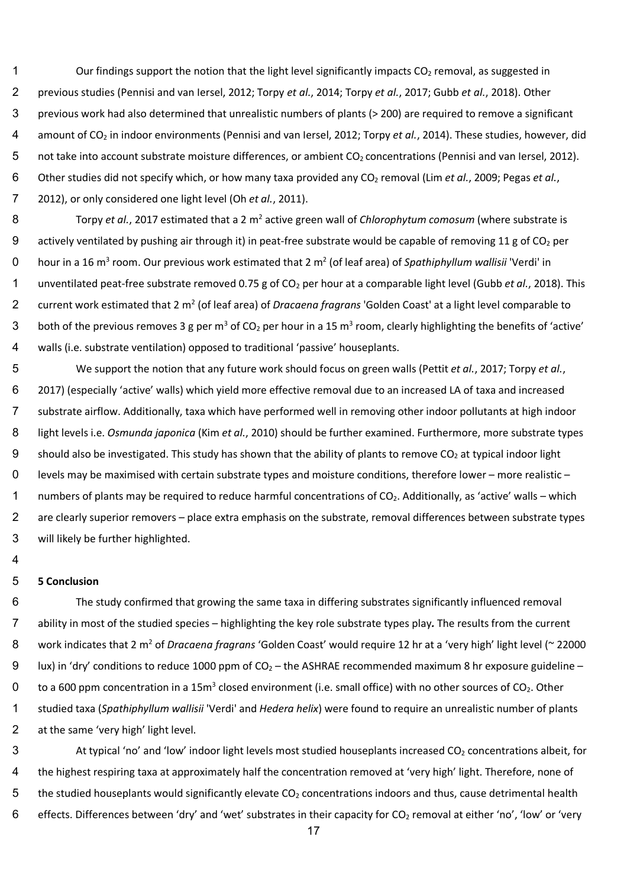- 1 Our findings support the notion that the light level significantly impacts  $CO<sub>2</sub>$  removal, as suggested in 2 previous studies (Pennisi and van Iersel, 2012; Torpy *et al.*, 2014; Torpy *et al.*, 2017; Gubb *et al.*, 2018). Other 3 previous work had also determined that unrealistic numbers of plants (> 200) are required to remove a significant 4 amount of CO<sub>2</sub> in indoor environments (Pennisi and van Iersel, 2012; Torpy *et al.*, 2014). These studies, however, did 5 not take into account substrate moisture differences, or ambient CO<sub>2</sub> concentrations (Pennisi and van Iersel, 2012). 6 Other studies did not specify which, or how many taxa provided any CO<sub>2</sub> removal (Lim *et al.*, 2009; Pegas *et al.*, 7 2012), or only considered one light level (Oh *et al.*, 2011).
- Torpy *et al.*, 2017 estimated that a 2 m2 8 active green wall of *Chlorophytum comosum* (where substrate is 9 actively ventilated by pushing air through it) in peat-free substrate would be capable of removing 11 g of  $CO<sub>2</sub>$  per hour in a 16 m<sup>3</sup> room. Our previous work estimated that 2 m<sup>2</sup> (of leaf area) of *Spathiphyllum wallisii* 'Verdi' in 1 unventilated peat-free substrate removed 0.75 g of CO<sub>2</sub> per hour at a comparable light level (Gubb *et al.*, 2018). This 2 current work estimated that 2 m<sup>2</sup> (of leaf area) of *Dracaena fragrans* 'Golden Coast' at a light level comparable to 3 both of the previous removes 3 g per m<sup>3</sup> of CO<sub>2</sub> per hour in a 15 m<sup>3</sup> room, clearly highlighting the benefits of 'active' 14 walls (i.e. substrate ventilation) opposed to traditional 'passive' houseplants.
- 15 We support the notion that any future work should focus on green walls (Pettit *et al.*, 2017; Torpy *et al.*, 16 2017) (especially 'active' walls) which yield more effective removal due to an increased LA of taxa and increased 17 substrate airflow. Additionally, taxa which have performed well in removing other indoor pollutants at high indoor 18 light levels i.e. *Osmunda japonica* (Kim *et al.*, 2010) should be further examined. Furthermore, more substrate types 9 should also be investigated. This study has shown that the ability of plants to remove  $CO<sub>2</sub>$  at typical indoor light 20 levels may be maximised with certain substrate types and moisture conditions, therefore lower – more realistic – 1 numbers of plants may be required to reduce harmful concentrations of  $CO<sub>2</sub>$ . Additionally, as 'active' walls – which 2 are clearly superior removers – place extra emphasis on the substrate, removal differences between substrate types 23 will likely be further highlighted.

### 25 **5 Conclusion**

26 The study confirmed that growing the same taxa in differing substrates significantly influenced removal 27 ability in most of the studied species – highlighting the key role substrate types play*.* The results from the current 8 work indicates that 2 m<sup>2</sup> of *Dracaena fragrans* 'Golden Coast' would require 12 hr at a 'very high' light level (~ 22000 9 lux) in 'dry' conditions to reduce 1000 ppm of  $CO_2$  – the ASHRAE recommended maximum 8 hr exposure guideline – 0 to a 600 ppm concentration in a 15m<sup>3</sup> closed environment (i.e. small office) with no other sources of CO<sub>2</sub>. Other 31 studied taxa (*Spathiphyllum wallisii* 'Verdi' and *Hedera helix*) were found to require an unrealistic number of plants 32 at the same 'very high' light level.

3 At typical 'no' and 'low' indoor light levels most studied houseplants increased CO<sub>2</sub> concentrations albeit, for 4 the highest respiring taxa at approximately half the concentration removed at 'very high' light. Therefore, none of  $5$  the studied houseplants would significantly elevate CO<sub>2</sub> concentrations indoors and thus, cause detrimental health 6 effects. Differences between 'dry' and 'wet' substrates in their capacity for  $CO_2$  removal at either 'no', 'low' or 'very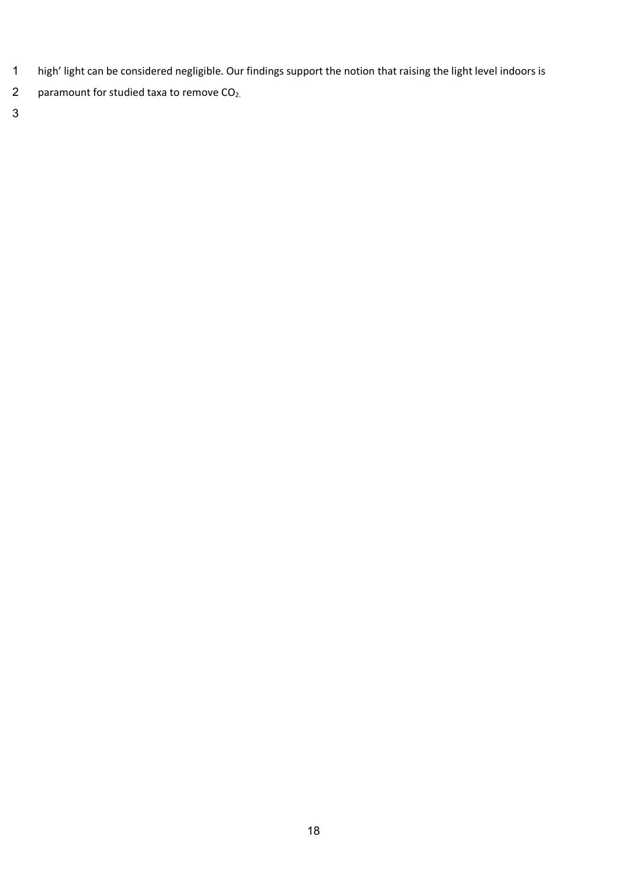- high' light can be considered negligible. Our findings support the notion that raising the light level indoors is
- 2 paramount for studied taxa to remove CO<sub>2</sub>.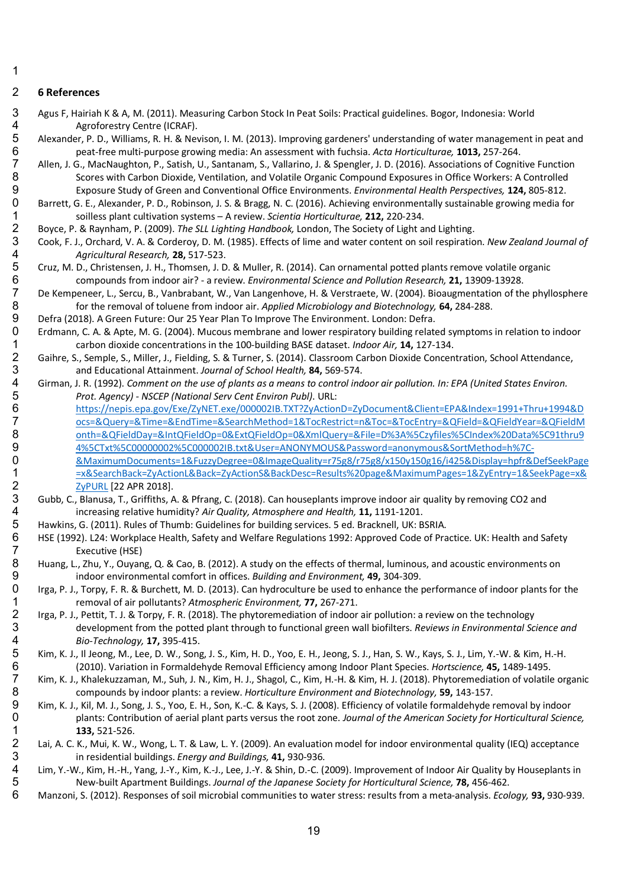## **6 References**

 Agus F, Hairiah K & A, M. (2011). Measuring Carbon Stock In Peat Soils: Practical guidelines. Bogor, Indonesia: World 4 Agroforestry Centre (ICRAF).<br>5 Alexander, P. D., Williams, R. H. & Nev

 Alexander, P. D., Williams, R. H. & Nevison, I. M. (2013). Improving gardeners' understanding of water management in peat and peat-free multi-purpose growing media: An assessment with fuchsia. *Acta Horticulturae,* **1013,** 257-264.

 Allen, J. G., MacNaughton, P., Satish, U., Santanam, S., Vallarino, J. & Spengler, J. D. (2016). Associations of Cognitive Function Scores with Carbon Dioxide, Ventilation, and Volatile Organic Compound Exposures in Office Workers: A Controlled Exposure Study of Green and Conventional Office Environments. *Environmental Health Perspectives,* **124,** 805-812.

0 Barrett, G. E., Alexander, P. D., Robinson, J. S. & Bragg, N. C. (2016). Achieving environmentally sustainable growing media for soulless plant cultivation systems – A review. Scientia Horticulturae. 212. 220-234.

 soilless plant cultivation systems – A review. *Scientia Horticulturae,* **212,** 220-234. Boyce, P. & Raynham, P. (2009). *The SLL Lighting Handbook,* London, The Society of Light and Lighting.

 Cook, F. J., Orchard, V. A. & Corderoy, D. M. (1985). Effects of lime and water content on soil respiration. *New Zealand Journal of Agricultural Research,* **28,** 517-523.

 Cruz, M. D., Christensen, J. H., Thomsen, J. D. & Muller, R. (2014). Can ornamental potted plants remove volatile organic compounds from indoor air? - a review. *Environmental Science and Pollution Research,* **21,** 13909-13928.

7 De Kempeneer, L., Sercu, B., Vanbrabant, W., Van Langenhove, H. & Verstraete, W. (2004). Bioaugmentation of the phyllosphere<br>8 for the removal of toluene from indoor air. Applied Microbiology and Biotechnology, 64, 284-2 for the removal of toluene from indoor air. *Applied Microbiology and Biotechnology,* **64,** 284-288.

Defra (2018). A Green Future: Our 25 Year Plan To Improve The Environment. London: Defra.

20 Erdmann, C. A. & Apte, M. G. (2004). Mucous membrane and lower respiratory building related symptoms in relation to indoor<br>1 carbon dioxide concentrations in the 100-building BASE dataset. *Indoor Air*. **14.** 127-134. carbon dioxide concentrations in the 100-building BASE dataset. *Indoor Air,* **14,** 127-134.

- 2 Gaihre, S., Semple, S., Miller, J., Fielding, S. & Turner, S. (2014). Classroom Carbon Dioxide Concentration, School Attendance,<br>3 and Educational Attainment. Journal of School Health, 84, 569-574. and Educational Attainment. *Journal of School Health,* **84,** 569-574.
- Girman, J. R. (1992). *Comment on the use of plants as a means to control indoor air pollution. In: EPA (United States Environ. Prot. Agency) - NSCEP (National Serv Cent Environ Publ)*. URL:
- https://nepis.epa.gov/Exe/ZyNET.exe/000002IB.TXT?ZyActionD=ZyDocument&Client=EPA&Index=1991+Thru+1994&D ocs=&Query=&Time=&EndTime=&SearchMethod=1&TocRestrict=n&Toc=&TocEntry=&QField=&QFieldYear=&QFieldM onth=&QFieldDay=&IntQFieldOp=0&ExtQFieldOp=0&XmlQuery=&File=D%3A%5Czyfiles%5CIndex%20Data%5C91thru9 4%5CTxt%5C00000002%5C000002IB.txt&User=ANONYMOUS&Password=anonymous&SortMethod=h%7C-
- &MaximumDocuments=1&FuzzyDegree=0&ImageQuality=r75g8/r75g8/x150y150g16/i425&Display=hpfr&DefSeekPage =x&SearchBack=ZyActionL&Back=ZyActionS&BackDesc=Results%20page&MaximumPages=1&ZyEntry=1&SeekPage=x& 2 ZyPURL [22 APR 2018].<br>3 Gubb, C., Blanusa, T., Griffiths, A
- 3 Gubb, C., Blanusa, T., Griffiths, A. & Pfrang, C. (2018). Can houseplants improve indoor air quality by removing CO2 and<br>4 increasing relative humidity? Air Quality, Atmosphere and Health, 11, 1191-1201. increasing relative humidity? *Air Quality, Atmosphere and Health,* **11,** 1191-1201.
- 5 Hawkins, G. (2011). Rules of Thumb: Guidelines for building services. 5 ed. Bracknell, UK: BSRIA.<br>6 HSE (1992). L24: Workplace Health, Safety and Welfare Regulations 1992: Approved Code of Pra
- 6 HSE (1992). L24: Workplace Health, Safety and Welfare Regulations 1992: Approved Code of Practice. UK: Health and Safety<br>7 Steed Time Executive (HSE) Executive (HSE)
- 8 Huang, L., Zhu, Y., Ouyang, Q. & Cao, B. (2012). A study on the effects of thermal, luminous, and acoustic environments on<br>9 indoor environmental comfort in offices. Building and Environment, 49, 304-309. indoor environmental comfort in offices. *Building and Environment,* **49,** 304-309.
- Irga, P. J., Torpy, F. R. & Burchett, M. D. (2013). Can hydroculture be used to enhance the performance of indoor plants for the removal of air pollutants? *Atmospheric Environment,* **77,** 267-271.
- 1rga, P. J., Pettit, T. J. & Torpy, F. R. (2018). The phytoremediation of indoor air pollution: a review on the technology<br>3 development from the potted plant through to functional green wall biofilters. Reviews in Environ development from the potted plant through to functional green wall biofilters. *Reviews in Environmental Science and Bio-Technology,* **17,** 395-415.
- 5 Kim, K. J., Il Jeong, M., Lee, D. W., Song, J. S., Kim, H. D., Yoo, E. H., Jeong, S. J., Han, S. W., Kays, S. J., Lim, Y.-W. & Kim, H.-H.<br>6 (2010). Variation in Formaldehyde Removal Efficiency among Indoor Plant Species.
- (2010). Variation in Formaldehyde Removal Efficiency among Indoor Plant Species. *Hortscience,* **45,** 1489-1495. Kim, K. J., Khalekuzzaman, M., Suh, J. N., Kim, H. J., Shagol, C., Kim, H.-H. & Kim, H. J. (2018). Phytoremediation of volatile organic compounds by indoor plants: a review. *Horticulture Environment and Biotechnology,* **59,** 143-157.
- Kim, K. J., Kil, M. J., Song, J. S., Yoo, E. H., Son, K.-C. & Kays, S. J. (2008). Efficiency of volatile formaldehyde removal by indoor plants: Contribution of aerial plant parts versus the root zone. *Journal of the American Society for Horticultural Science,* 1 **133,** 521-526.<br>2 Lai, A. C. K., Mui, K. W.,
- 2 Lai, A. C. K., Mui, K. W., Wong, L. T. & Law, L. Y. (2009). An evaluation model for indoor environmental quality (IEQ) acceptance<br>3 in residential buildings. *Energy and Buildings*, 41, 930-936. in residential buildings. *Energy and Buildings,* **41,** 930-936.
- 4 Lim, Y.-W., Kim, H.-H., Yang, J.-Y., Kim, K.-J., Lee, J.-Y. & Shin, D.-C. (2009). Improvement of Indoor Air Quality by Houseplants in<br>5 New-built Apartment Buildings. Journal of the Japanese Society for Horticultural Sci New-built Apartment Buildings. *Journal of the Japanese Society for Horticultural Science,* **78,** 456-462.
	- Manzoni, S. (2012). Responses of soil microbial communities to water stress: results from a meta-analysis. *Ecology,* **93,** 930-939.